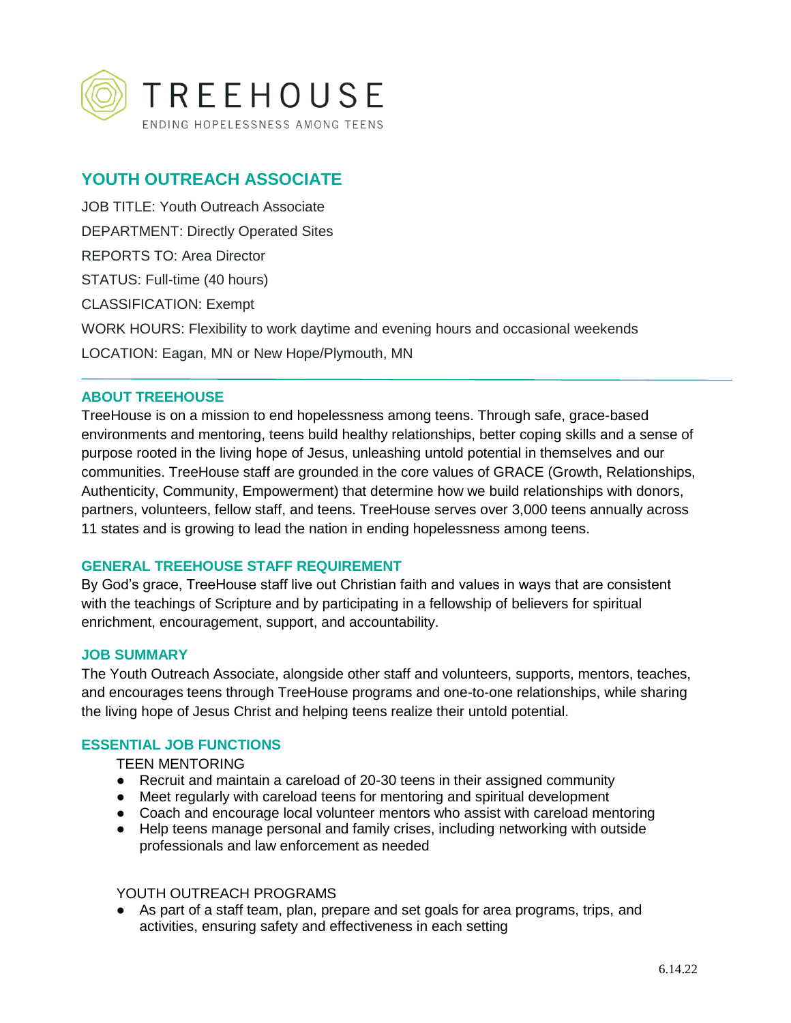

# **YOUTH OUTREACH ASSOCIATE**

JOB TITLE: Youth Outreach Associate DEPARTMENT: Directly Operated Sites REPORTS TO: Area Director STATUS: Full-time (40 hours) CLASSIFICATION: Exempt WORK HOURS: Flexibility to work daytime and evening hours and occasional weekends LOCATION: Eagan, MN or New Hope/Plymouth, MN

# **ABOUT TREEHOUSE**

TreeHouse is on a mission to end hopelessness among teens. Through safe, grace-based environments and mentoring, teens build healthy relationships, better coping skills and a sense of purpose rooted in the living hope of Jesus, unleashing untold potential in themselves and our communities. TreeHouse staff are grounded in the core values of GRACE (Growth, Relationships, Authenticity, Community, Empowerment) that determine how we build relationships with donors, partners, volunteers, fellow staff, and teens. TreeHouse serves over 3,000 teens annually across 11 states and is growing to lead the nation in ending hopelessness among teens.

# **GENERAL TREEHOUSE STAFF REQUIREMENT**

By God's grace, TreeHouse staff live out Christian faith and values in ways that are consistent with the teachings of Scripture and by participating in a fellowship of believers for spiritual enrichment, encouragement, support, and accountability.

# **JOB SUMMARY**

The Youth Outreach Associate, alongside other staff and volunteers, supports, mentors, teaches, and encourages teens through TreeHouse programs and one-to-one relationships, while sharing the living hope of Jesus Christ and helping teens realize their untold potential.

# **ESSENTIAL JOB FUNCTIONS**

# TEEN MENTORING

- Recruit and maintain a careload of 20-30 teens in their assigned community
- Meet regularly with careload teens for mentoring and spiritual development
- Coach and encourage local volunteer mentors who assist with careload mentoring
- Help teens manage personal and family crises, including networking with outside professionals and law enforcement as needed

#### YOUTH OUTREACH PROGRAMS

● As part of a staff team, plan, prepare and set goals for area programs, trips, and activities, ensuring safety and effectiveness in each setting